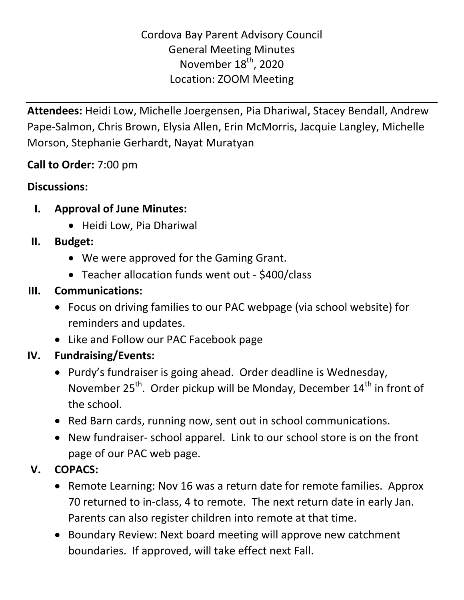**Attendees:** Heidi Low, Michelle Joergensen, Pia Dhariwal, Stacey Bendall, Andrew Pape-Salmon, Chris Brown, Elysia Allen, Erin McMorris, Jacquie Langley, Michelle Morson, Stephanie Gerhardt, Nayat Muratyan

## **Call to Order:** 7:00 pm

#### **Discussions:**

- **I. Approval of June Minutes:** 
	- Heidi Low, Pia Dhariwal

#### **II. Budget:**

- We were approved for the Gaming Grant.
- Teacher allocation funds went out \$400/class

## **III. Communications:**

- Focus on driving families to our PAC webpage (via school website) for reminders and updates.
- Like and Follow our PAC Facebook page

## **IV. Fundraising/Events:**

- Purdy's fundraiser is going ahead. Order deadline is Wednesday, November  $25^{th}$ . Order pickup will be Monday, December  $14^{th}$  in front of the school.
- Red Barn cards, running now, sent out in school communications.
- New fundraiser- school apparel. Link to our school store is on the front page of our PAC web page.

# **V. COPACS:**

- Remote Learning: Nov 16 was a return date for remote families. Approx 70 returned to in-class, 4 to remote. The next return date in early Jan. Parents can also register children into remote at that time.
- Boundary Review: Next board meeting will approve new catchment boundaries. If approved, will take effect next Fall.